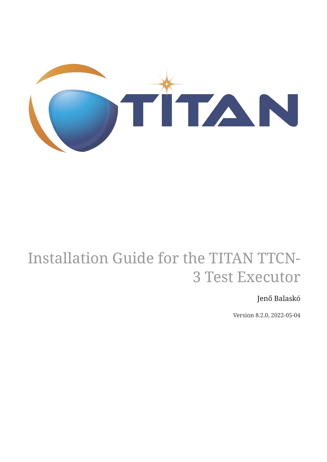

# Installation Guide for the TITAN TTCN-3 Test Executor

#### Jenő Balaskó

Version 8.2.0, 2022-05-04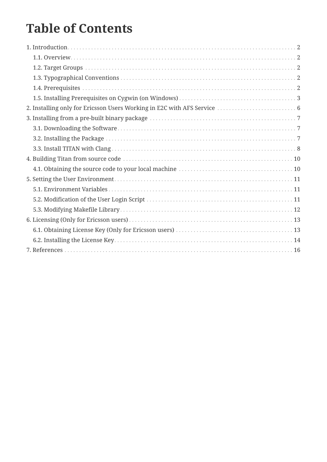## **Table of Contents**

| 2. Installing only for Ericsson Users Working in E2C with AFS Service  6 |
|--------------------------------------------------------------------------|
|                                                                          |
|                                                                          |
|                                                                          |
|                                                                          |
|                                                                          |
|                                                                          |
|                                                                          |
|                                                                          |
|                                                                          |
|                                                                          |
|                                                                          |
|                                                                          |
|                                                                          |
|                                                                          |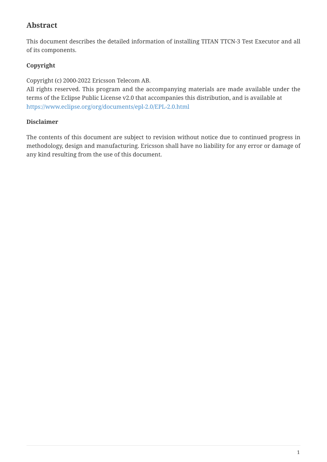#### **Abstract**

This document describes the detailed information of installing TITAN TTCN-3 Test Executor and all of its components.

#### **Copyright**

Copyright (c) 2000-2022 Ericsson Telecom AB.

All rights reserved. This program and the accompanying materials are made available under the terms of the Eclipse Public License v2.0 that accompanies this distribution, and is available at <https://www.eclipse.org/org/documents/epl-2.0/EPL-2.0.html>

#### **Disclaimer**

The contents of this document are subject to revision without notice due to continued progress in methodology, design and manufacturing. Ericsson shall have no liability for any error or damage of any kind resulting from the use of this document.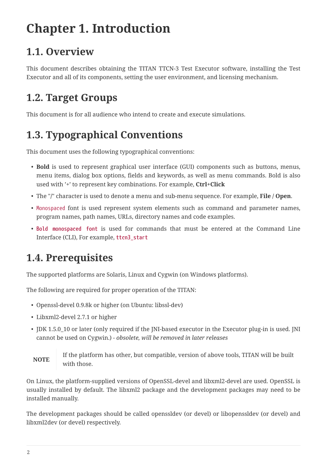# <span id="page-3-0"></span>**Chapter 1. Introduction**

## <span id="page-3-1"></span>**1.1. Overview**

This document describes obtaining the TITAN TTCN-3 Test Executor software, installing the Test Executor and all of its components, setting the user environment, and licensing mechanism.

#### <span id="page-3-2"></span>**1.2. Target Groups**

This document is for all audience who intend to create and execute simulations.

## <span id="page-3-3"></span>**1.3. Typographical Conventions**

This document uses the following typographical conventions:

- **Bold** is used to represent graphical user interface (GUI) components such as buttons, menus, menu items, dialog box options, fields and keywords, as well as menu commands. Bold is also used with '+' to represent key combinations. For example, **Ctrl+Click**
- The "**/**" character is used to denote a menu and sub-menu sequence. For example, **File / Open**.
- Monospaced font is used represent system elements such as command and parameter names, program names, path names, URLs, directory names and code examples.
- **Bold monospaced font** is used for commands that must be entered at the Command Line Interface (CLI), For example, **ttcn3\_start**

## <span id="page-3-4"></span>**1.4. Prerequisites**

The supported platforms are Solaris, Linux and Cygwin (on Windows platforms).

The following are required for proper operation of the TITAN:

- Openssl-devel 0.9.8k or higher (on Ubuntu: libssl-dev)
- Libxml2-devel 2.7.1 or higher
- JDK 1.5.0\_10 or later (only required if the JNI-based executor in the Executor plug-in is used. JNI cannot be used on Cygwin.) - *obsolete, will be removed in later releases*

If the platform has other, but compatible, version of above tools, TITAN will be built with those.

On Linux, the platform-supplied versions of OpenSSL-devel and libxml2-devel are used. OpenSSL is usually installed by default. The libxml2 package and the development packages may need to be installed manually.

The development packages should be called openssldev (or devel) or libopenssldev (or devel) and libxml2dev (or devel) respectively.

**NOTE**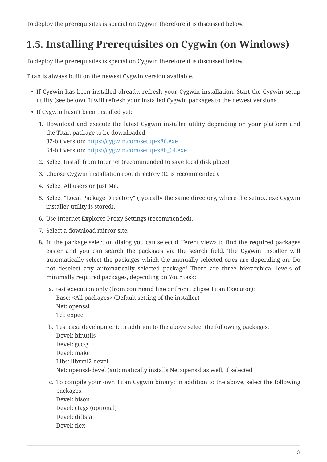To deploy the prerequisites is special on Cygwin therefore it is discussed below.

### <span id="page-4-0"></span>**1.5. Installing Prerequisites on Cygwin (on Windows)**

To deploy the prerequisites is special on Cygwin therefore it is discussed below.

Titan is always built on the newest Cygwin version available.

- If Cygwin has been installed already, refresh your Cygwin installation. Start the Cygwin setup utility (see below). It will refresh your installed Cygwin packages to the newest versions.
- If Cygwin hasn't been installed yet:
	- 1. Download and execute the latest Cygwin installer utility depending on your platform and the Titan package to be downloaded: 32-bit version: <https://cygwin.com/setup-x86.exe> 64-bit version: [https://cygwin.com/setup-x86\\_64.exe](https://cygwin.com/setup-x86_64.exe)
	- 2. Select Install from Internet (recommended to save local disk place)
	- 3. Choose Cygwin installation root directory (C: is recommended).
	- 4. Select All users or Just Me.
	- 5. Select "Local Package Directory" (typically the same directory, where the setup…exe Cygwin installer utility is stored).
	- 6. Use Internet Explorer Proxy Settings (recommended).
	- 7. Select a download mirror site.
	- 8. In the package selection dialog you can select different views to find the required packages easier and you can search the packages via the search field. The Cygwin installer will automatically select the packages which the manually selected ones are depending on. Do not deselect any automatically selected package! There are three hierarchical levels of minimally required packages, depending on Your task:
		- a. test execution only (from command line or from Eclipse Titan Executor): Base: <All packages> (Default setting of the installer) Net: openssl Tcl: expect
		- b. Test case development: in addition to the above select the following packages: Devel: binutils Devel: gcc-g++ Devel: make Libs: libxml2-devel Net: openssl-devel (automatically installs Net:openssl as well, if selected
		- c. To compile your own Titan Cygwin binary: in addition to the above, select the following packages: Devel: bison Devel: ctags (optional) Devel: diffstat Devel: flex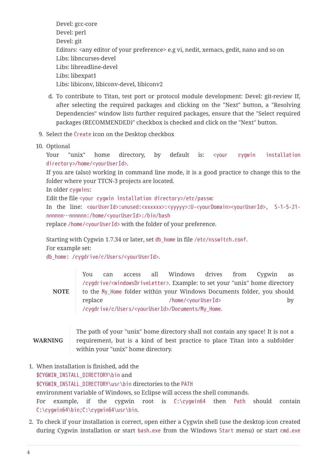Devel: gcc-core Devel: perl Devel: git Editors: <any editor of your preference> e.g vi, nedit, xemacs, gedit, nano and so on Libs: libncurses-devel Libs: libreadline-devel Libs: libexpat1 Libs: libiconv, libiconv-devel, libiconv2

- d. To contribute to Titan, test port or protocol module development: Devel: git-review If, after selecting the required packages and clicking on the "Next" button, a "Resolving Dependencies" window lists further required packages, ensure that the "Select required packages (RECOMMENDED)" checkbox is checked and click on the "Next" button.
- 9. Select the Create icon on the Desktop checkbox
- 10. Optional

Your "unix" home directory, by default is: <your cygwin installation directory>/home/<yourUserId>.

If you are (also) working in command line mode, it is a good practice to change this to the folder where your TTCN-3 projects are located.

In older cygwins:

Edit the file <your cygwin installation directory>/etc/passw:

In the line: <ourUserId>:unused:<xxxxxx>:<yyyyy>:U-<yourDomain><yourUserId>, S-1-5-21 nnnnnn…nnnnnn:/home/<yourUserId>:/bin/bash

replace /home/<yourUserId> with the folder of your preference.

Starting with Cygwin 1.7.34 or later, set db\_home in file /etc/nsswitch.conf. For example set:

db\_home: /cygdrive/c/Users/<yourUserId>.

**NOTE** You can access all Windows drives from Cygwin as /cygdrive/<windowsDriveLetter>. Example: to set your "unix" home directory to the My\_Home folder within your Windows Documents folder, you should replace /home/<yourUserId> by /cygdrive/c/Users/<yourUserId>/Documents/My\_Home.

#### **WARNING**

The path of your "unix" home directory shall not contain any space! It is not a requirement, but is a kind of best practice to place Titan into a subfolder within your "unix" home directory.

- 1. When installation is finished, add the \$CYGWIN\_INSTALL\_DIRECTORY\bin and \$CYGWIN\_INSTALL\_DIRECTORY\usr\bin directories to the PATH environment variable of Windows, so Eclipse will access the shell commands. For example, if the cygwin root is C:\cygwin64 then Path should contain C:\cygwin64\bin;C:\cygwin64\usr\bin.
- 2. To check if your installation is correct, open either a Cygwin shell (use the desktop icon created during Cygwin installation or start bash.exe from the Windows Start menu) or start cmd.exe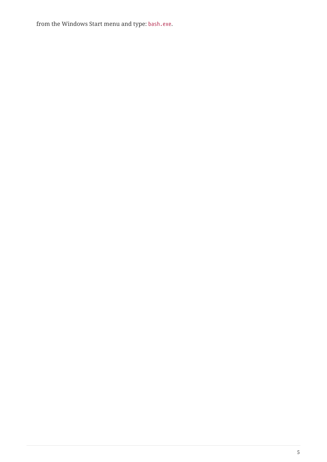from the Windows Start menu and type: bash.exe.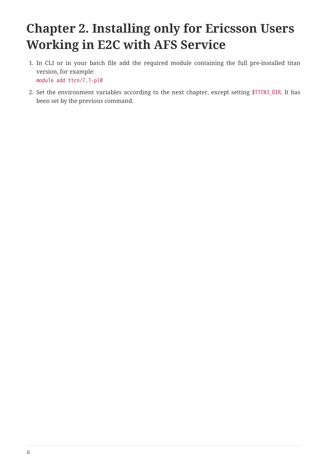# <span id="page-7-0"></span>**Chapter 2. Installing only for Ericsson Users Working in E2C with AFS Service**

- 1. In CLI or in your batch file add the required module containing the full pre-installed titan version, for example: module add ttcn/7.1-pl0
- 2. Set the environment variables according to the next chapter, except setting \$TTCN3\_DIR. It has been set by the previous command.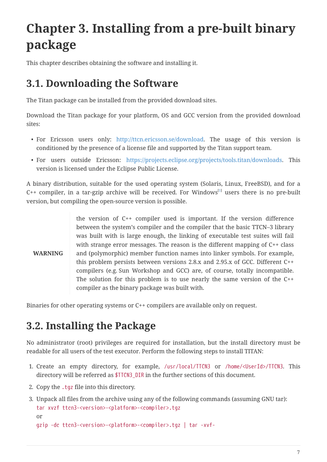# <span id="page-8-0"></span>**Chapter 3. Installing from a pre-built binary package**

This chapter describes obtaining the software and installing it.

#### <span id="page-8-1"></span>**3.1. Downloading the Software**

The Titan package can be installed from the provided download sites.

Download the Titan package for your platform, OS and GCC version from the provided download sites:

- For Ericsson users only: [http://ttcn.ericsson.se/download.](http://ttcn.ericsson.se/download) The usage of this version is conditioned by the presence of a license file and supported by the Titan support team.
- For users outside Ericsson: [https://projects.eclipse.org/projects/tools.titan/downloads.](https://projects.eclipse.org/projects/tools.titan/downloads) This version is licensed under the Eclipse Public License.

A binary distribution, suitable for the used operating system (Solaris, Linux, FreeBSD), and for a C++ compiler, in a tar-gzip archive will be received. For Windows $^{[1]}$  $^{[1]}$  $^{[1]}$  users there is no pre-built version, but compiling the open-source version is possible.

<span id="page-8-3"></span>**WARNING** the version of C++ compiler used is important. If the version difference between the system's compiler and the compiler that the basic TTCN–3 library was built with is large enough, the linking of executable test suites will fail with strange error messages. The reason is the different mapping of C++ class and (polymorphic) member function names into linker symbols. For example, this problem persists between versions 2.8.x and 2.95.x of GCC. Different C++ compilers (e.g. Sun Workshop and GCC) are, of course, totally incompatible. The solution for this problem is to use nearly the same version of the C++ compiler as the binary package was built with.

Binaries for other operating systems or C++ compilers are available only on request.

#### <span id="page-8-2"></span>**3.2. Installing the Package**

No administrator (root) privileges are required for installation, but the install directory must be readable for all users of the test executor. Perform the following steps to install TITAN:

- 1. Create an empty directory, for example, /usr/local/TTCN3 or /home/<UserId>/TTCN3. This directory will be referred as \$TTCN3\_DIR in the further sections of this document.
- 2. Copy the .tgz file into this directory.
- 3. Unpack all files from the archive using any of the following commands (assuming GNU tar): tar xvzf ttcn3-<version>-<platform>-<compiler>.tgz or

```
gzip -dc ttcn3-<version>-<platform>-<compiler>.tgz | tar -xvf-
```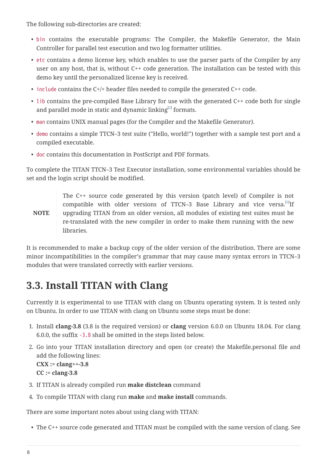The following sub-directories are created:

- bin contains the executable programs: The Compiler, the Makefile Generator, the Main Controller for parallel test execution and two log formatter utilities.
- etc contains a demo license key, which enables to use the parser parts of the Compiler by any user on any host, that is, without C++ code generation. The installation can be tested with this demo key until the personalized license key is received.
- include contains the  $C+/+$  header files needed to compile the generated  $C++$  code.
- lib contains the pre-compiled Base Library for use with the generated C++ code both for single and parallel mode in static and dynamic linking $^{\left[ 2\right] }$  formats.
- <span id="page-9-1"></span>• man contains UNIX manual pages (for the Compiler and the Makefile Generator).
- demo contains a simple TTCN–3 test suite ("Hello, world!") together with a sample test port and a compiled executable.
- doc contains this documentation in PostScript and PDF formats.

To complete the TITAN TTCN–3 Test Executor installation, some environmental variables should be set and the login script should be modified.

<span id="page-9-2"></span>**NOTE** The C++ source code generated by this version (patch level) of Compiler is not compatible with older versions of TTCN-[3](#page-10-2) Base Library and vice versa.<sup>[3]</sup>If upgrading TITAN from an older version, all modules of existing test suites must be re-translated with the new compiler in order to make them running with the new libraries.

It is recommended to make a backup copy of the older version of the distribution. There are some minor incompatibilities in the compiler's grammar that may cause many syntax errors in TTCN–3 modules that were translated correctly with earlier versions.

## <span id="page-9-0"></span>**3.3. Install TITAN with Clang**

Currently it is experimental to use TITAN with clang on Ubuntu operating system. It is tested only on Ubuntu. In order to use TITAN with clang on Ubuntu some steps must be done:

- 1. Install **clang-3.8** (3.8 is the required version) or **clang** version 6.0.0 on Ubuntu 18.04. For clang 6.0.0, the suffix -3.8 shall be omitted in the steps listed below.
- 2. Go into your TITAN installation directory and open (or create) the Makefile.personal file and add the following lines: **CXX := clang++-3.8 CC := clang-3.8**
- 3. If TITAN is already compiled run **make distclean** command
- 4. To compile TITAN with clang run **make** and **make install** commands.

There are some important notes about using clang with TITAN:

• The C++ source code generated and TITAN must be compiled with the same version of clang. See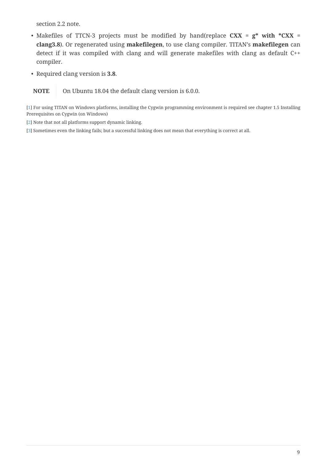section 2.2 note.

- Makefiles of TTCN-3 projects must be modified by hand(replace **CXX = g\* with \*CXX = clang3.8**). Or regenerated using **makefilegen**, to use clang compiler. TITAN's **makefilegen** can detect if it was compiled with clang and will generate makefiles with clang as default C++ compiler.
- Required clang version is **3.8**.

**NOTE** On Ubuntu 18.04 the default clang version is 6.0.0.

<span id="page-10-0"></span>[\[1\]](#page-8-3) For using TITAN on Windows platforms, installing the Cygwin programming environment is required see chapter 1.5 Installing Prerequisites on Cygwin (on Windows)

<span id="page-10-1"></span>[\[2\]](#page-9-1) Note that not all platforms support dynamic linking.

<span id="page-10-2"></span>[\[3\]](#page-9-2) Sometimes even the linking fails; but a successful linking does not mean that everything is correct at all.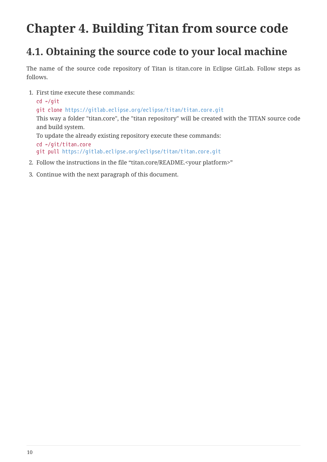## <span id="page-11-0"></span>**Chapter 4. Building Titan from source code**

#### <span id="page-11-1"></span>**4.1. Obtaining the source code to your local machine**

The name of the source code repository of Titan is titan.core in Eclipse GitLab. Follow steps as follows.

1. First time execute these commands:

```
cd ~/git
  git clone https://gitlab.eclipse.org/eclipse/titan/titan.core.git
  This way a folder "titan.core", the "titan repository" will be created with the TITAN source code
  and build system.
  To update the already existing repository execute these commands:
  cd ~/git/titan.core
  git pull https://gitlab.eclipse.org/eclipse/titan/titan.core.git
2. Follow the instructions in the file "titan.core/README.<your platform>"
```
3. Continue with the next paragraph of this document.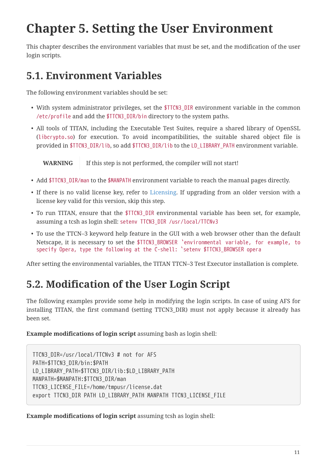## <span id="page-12-0"></span>**Chapter 5. Setting the User Environment**

This chapter describes the environment variables that must be set, and the modification of the user login scripts.

#### <span id="page-12-1"></span>**5.1. Environment Variables**

The following environment variables should be set:

- With system administrator privileges, set the \$TTCN3\_DIR environment variable in the common /etc/profile and add the \$TTCN3\_DIR/bin directory to the system paths.
- All tools of TITAN, including the Executable Test Suites, require a shared library of OpenSSL (libcrypto.so) for execution. To avoid incompatibilities, the suitable shared object file is provided in \$TTCN3\_DIR/lib, so add \$TTCN3\_DIR/lib to the LD\_LIBRARY\_PATH environment variable.

**WARNING** If this step is not performed, the compiler will not start!

- Add \$TTCN3\_DIR/man to the \$MANPATH environment variable to reach the manual pages directly.
- If there is no valid license key, refer to [Licensing](5-licensing.md). If upgrading from an older version with a license key valid for this version, skip this step.
- To run TITAN, ensure that the \$TTCN3\_DIR environmental variable has been set, for example, assuming a tcsh as login shell: setenv TTCN3\_DIR /usr/local/TTCNv3
- To use the TTCN–3 keyword help feature in the GUI with a web browser other than the default Netscape, it is necessary to set the \$TTCN3\_BROWSER `environmental variable, for example, to specify Opera, type the following at the C-shell: `setenv \$TTCN3\_BROWSER opera

After setting the environmental variables, the TITAN TTCN–3 Test Executor installation is complete.

## <span id="page-12-2"></span>**5.2. Modification of the User Login Script**

The following examples provide some help in modifying the login scripts. In case of using AFS for installing TITAN, the first command (setting TTCN3\_DIR) must not apply because it already has been set.

#### **Example modifications of login script** assuming bash as login shell:

```
TTCN3_DIR=/usr/local/TTCNv3 # not for AFS
PATH=$TTCN3_DIR/bin:$PATH
LD_LIBRARY_PATH=$TTCN3_DIR/lib:$LD_LIBRARY_PATH
MANPATH=$MANPATH:$TTCN3_DIR/man
TTCN3_LICENSE_FILE=/home/tmpusr/license.dat
export TTCN3 DIR PATH LD LIBRARY PATH MANPATH TTCN3 LICENSE FILE
```
**Example modifications of login script** assuming tcsh as login shell: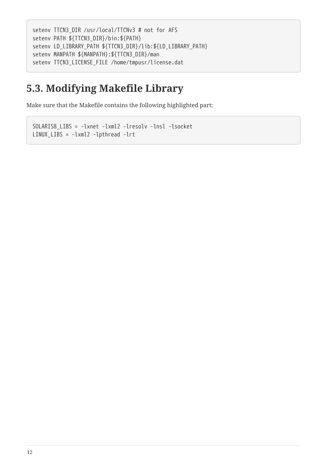```
setenv TTCN3_DIR /usr/local/TTCNv3 # not for AFS
setenv PATH ${TTCN3_DIR}/bin:${PATH}
setenv LD_LIBRARY_PATH ${TTCN3_DIR}/lib:${LD_LIBRARY_PATH}
setenv MANPATH ${MANPATH}:${TTCN3_DIR}/man
setenv TTCN3_LICENSE_FILE /home/tmpusr/license.dat
```
#### <span id="page-13-0"></span>**5.3. Modifying Makefile Library**

Make sure that the Makefile contains the following highlighted part:

```
SOLARIS8_LIBS = -lxnet -lxml2 -lresolv -lnsl -lsocket
LINUX_LIBS = -lxml2 -lpthread -lrt
```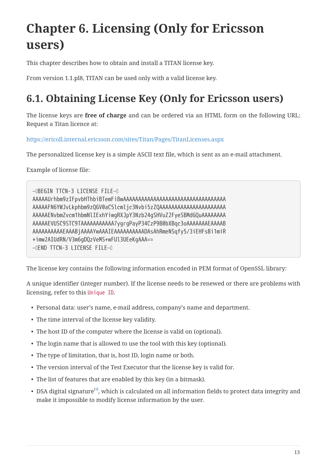# <span id="page-14-0"></span>**Chapter 6. Licensing (Only for Ericsson users)**

This chapter describes how to obtain and install a TITAN license key.

From version 1.1.pl8, TITAN can be used only with a valid license key.

## <span id="page-14-1"></span>**6.1. Obtaining License Key (Only for Ericsson users)**

The license keys are **free of charge** and can be ordered via an HTML form on the following URL: Request a Titan licence at:

<https://ericoll.internal.ericsson.com/sites/Titan/Pages/TitanLicenses.aspx>

The personalized license key is a simple ASCII text file, which is sent as an e-mail attachment.

Example of license file:

```
—–BEGIN TTCN-3 LICENSE FILE—–
AAAAAUrhbm9zIFpvbHThbiBTemFi8wAAAAAAAAAAAAAAAAAAAAAAAAAAAAAAAAAA
AAAAAFN6YWJvLkphbm9zQGV0aC5lcmljc3Nvbi5zZQAAAAAAAAAAAAAAAAAAAAAA
AAAAAENvbmZvcm1hbmNlIExhYiwgRXJpY3Nzb24gSHVuZ2FyeSBMdGQuAAAAAAAA
AAAAAEVUSC9STC9TAAAAAAAAAAA7ygrgPayP34CzP9B0bXBqc3oAAAAAAAEAAAAB
AAAAAAAAAAEAAABjAAAAYwAAAIEAAAAAAAAAADAsAhRmeNSqfy5/3iEHFsBi1miR
+imw2AIUdRN/V3m6gDQzVeMS+wFUl3UEeKgAAA==
—–END TTCN-3 LICENSE FILE—–
```
The license key contains the following information encoded in PEM format of OpenSSL library:

A unique identifier (integer number). If the license needs to be renewed or there are problems with licensing, refer to this Unique ID.

- Personal data: user's name, e-mail address, company's name and department.
- The time interval of the license key validity.
- The host ID of the computer where the license is valid on (optional).
- The login name that is allowed to use the tool with this key (optional).
- The type of limitation, that is, host ID, login name or both.
- The version interval of the Test Executor that the license key is valid for.
- The list of features that are enabled by this key (in a bitmask).
- <span id="page-14-2"></span> $\bullet \,$  DSA digital signature $^{[4]}$  $^{[4]}$  $^{[4]}$ , which is calculated on all information fields to protect data integrity and make it impossible to modify license information by the user.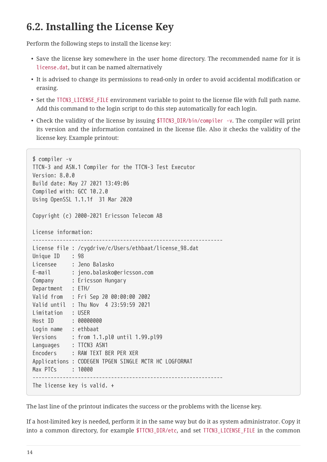#### <span id="page-15-0"></span>**6.2. Installing the License Key**

Perform the following steps to install the license key:

- Save the license key somewhere in the user home directory. The recommended name for it is license.dat, but it can be named alternatively
- It is advised to change its permissions to read-only in order to avoid accidental modification or erasing.
- Set the TTCN3 LICENSE FILE environment variable to point to the license file with full path name. Add this command to the login script to do this step automatically for each login.
- Check the validity of the license by issuing \$TTCN3 DIR/bin/compiler -v. The compiler will print its version and the information contained in the license file. Also it checks the validity of the license key. Example printout:

```
$ compiler -v
TTCN-3 and ASN.1 Compiler for the TTCN-3 Test Executor
Version: 8.0.0
Build date: May 27 2021 13:49:06
Compiled with: GCC 10.2.0
Using OpenSSL 1.1.1f 31 Mar 2020
Copyright (c) 2000-2021 Ericsson Telecom AB
License information:
---------------------------------------------------------------
License file : /cygdrive/c/Users/ethbaat/license_98.dat
Unique ID : 98
Licensee : Jeno Balasko
E-mail : jeno.balasko@ericsson.com
Company : Ericsson Hungary
Department : ETH/
Valid from : Fri Sep 20 00:00:00 2002
Valid until : Thu Nov 4 23:59:59 2021
Limitation : USER
Host ID : 00000000
Login name : ethbaat
Versions : from 1.1.pl0 until 1.99.pl99
Languages : TTCN3 ASN1
Encoders : RAW TEXT BER PER XER
Applications : CODEGEN TPGEN SINGLE MCTR HC LOGFORMAT
Max PTCs : 10000
---------------------------------------------------------------
The license key is valid. +
```
The last line of the printout indicates the success or the problems with the license key.

If a host-limited key is needed, perform it in the same way but do it as system administrator. Copy it into a common directory, for example \$TTCN3\_DIR/etc, and set TTCN3\_LICENSE\_FILE in the common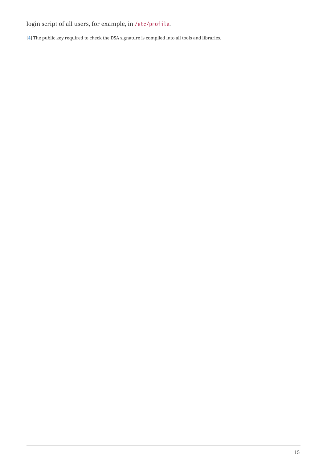#### login script of all users, for example, in /etc/profile.

<span id="page-16-0"></span>[\[4\]](#page-14-2) The public key required to check the DSA signature is compiled into all tools and libraries.